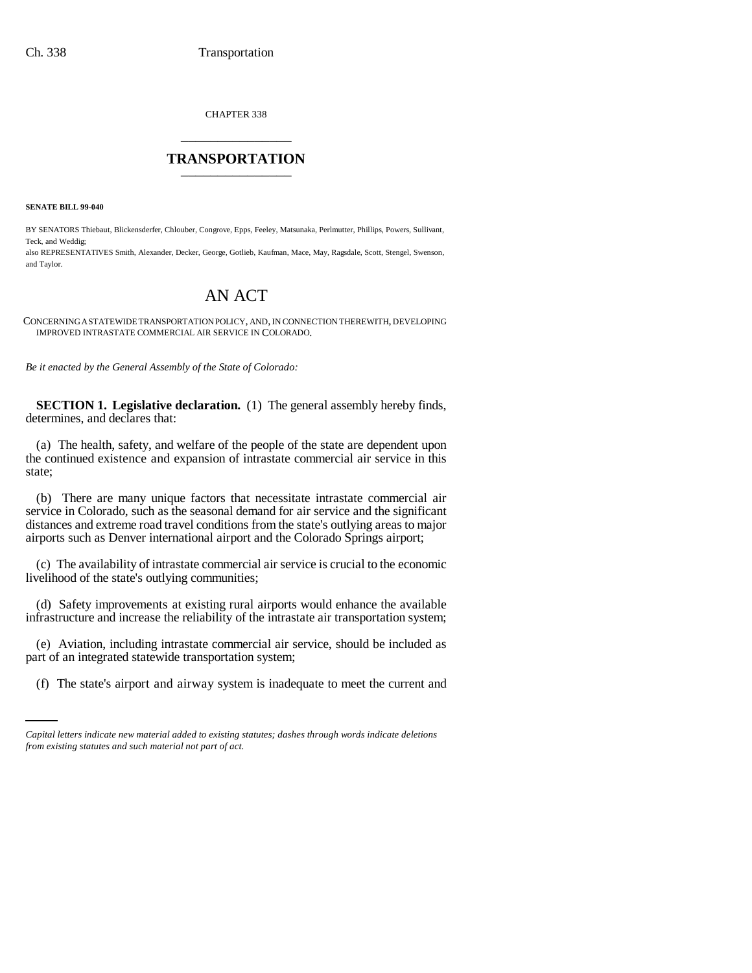CHAPTER 338 \_\_\_\_\_\_\_\_\_\_\_\_\_\_\_

## **TRANSPORTATION** \_\_\_\_\_\_\_\_\_\_\_\_\_\_\_

**SENATE BILL 99-040** 

BY SENATORS Thiebaut, Blickensderfer, Chlouber, Congrove, Epps, Feeley, Matsunaka, Perlmutter, Phillips, Powers, Sullivant, Teck, and Weddig;

also REPRESENTATIVES Smith, Alexander, Decker, George, Gotlieb, Kaufman, Mace, May, Ragsdale, Scott, Stengel, Swenson, and Taylor.

## AN ACT

CONCERNING A STATEWIDE TRANSPORTATION POLICY, AND, IN CONNECTION THEREWITH, DEVELOPING IMPROVED INTRASTATE COMMERCIAL AIR SERVICE IN COLORADO.

*Be it enacted by the General Assembly of the State of Colorado:*

**SECTION 1. Legislative declaration.** (1) The general assembly hereby finds, determines, and declares that:

(a) The health, safety, and welfare of the people of the state are dependent upon the continued existence and expansion of intrastate commercial air service in this state;

(b) There are many unique factors that necessitate intrastate commercial air service in Colorado, such as the seasonal demand for air service and the significant distances and extreme road travel conditions from the state's outlying areas to major airports such as Denver international airport and the Colorado Springs airport;

(c) The availability of intrastate commercial air service is crucial to the economic livelihood of the state's outlying communities;

(d) Safety improvements at existing rural airports would enhance the available infrastructure and increase the reliability of the intrastate air transportation system;

part of an integrated statewide transportation system; (e) Aviation, including intrastate commercial air service, should be included as

(f) The state's airport and airway system is inadequate to meet the current and

*Capital letters indicate new material added to existing statutes; dashes through words indicate deletions from existing statutes and such material not part of act.*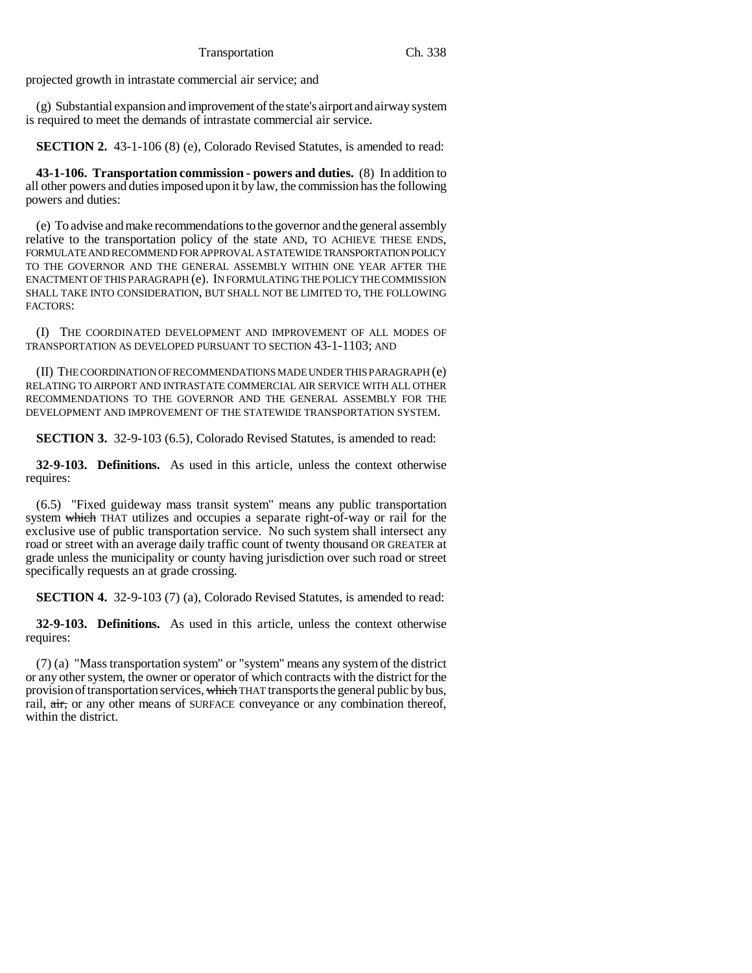projected growth in intrastate commercial air service; and

(g) Substantial expansion and improvement of the state's airport and airway system is required to meet the demands of intrastate commercial air service.

**SECTION 2.** 43-1-106 (8) (e), Colorado Revised Statutes, is amended to read:

**43-1-106. Transportation commission - powers and duties.** (8) In addition to all other powers and duties imposed upon it by law, the commission has the following powers and duties:

(e) To advise and make recommendations to the governor and the general assembly relative to the transportation policy of the state AND, TO ACHIEVE THESE ENDS, FORMULATE AND RECOMMEND FOR APPROVAL A STATEWIDE TRANSPORTATION POLICY TO THE GOVERNOR AND THE GENERAL ASSEMBLY WITHIN ONE YEAR AFTER THE ENACTMENT OF THIS PARAGRAPH (e). IN FORMULATING THE POLICY THE COMMISSION SHALL TAKE INTO CONSIDERATION, BUT SHALL NOT BE LIMITED TO, THE FOLLOWING FACTORS:

(I) THE COORDINATED DEVELOPMENT AND IMPROVEMENT OF ALL MODES OF TRANSPORTATION AS DEVELOPED PURSUANT TO SECTION 43-1-1103; AND

(II) THE COORDINATION OF RECOMMENDATIONS MADE UNDER THIS PARAGRAPH (e) RELATING TO AIRPORT AND INTRASTATE COMMERCIAL AIR SERVICE WITH ALL OTHER RECOMMENDATIONS TO THE GOVERNOR AND THE GENERAL ASSEMBLY FOR THE DEVELOPMENT AND IMPROVEMENT OF THE STATEWIDE TRANSPORTATION SYSTEM.

**SECTION 3.** 32-9-103 (6.5), Colorado Revised Statutes, is amended to read:

**32-9-103. Definitions.** As used in this article, unless the context otherwise requires:

(6.5) "Fixed guideway mass transit system" means any public transportation system which THAT utilizes and occupies a separate right-of-way or rail for the exclusive use of public transportation service. No such system shall intersect any road or street with an average daily traffic count of twenty thousand OR GREATER at grade unless the municipality or county having jurisdiction over such road or street specifically requests an at grade crossing.

**SECTION 4.** 32-9-103 (7) (a), Colorado Revised Statutes, is amended to read:

**32-9-103. Definitions.** As used in this article, unless the context otherwise requires:

(7) (a) "Mass transportation system" or "system" means any system of the district or any other system, the owner or operator of which contracts with the district for the provision of transportation services, which THAT transports the general public by bus, rail, air, or any other means of SURFACE conveyance or any combination thereof, within the district.